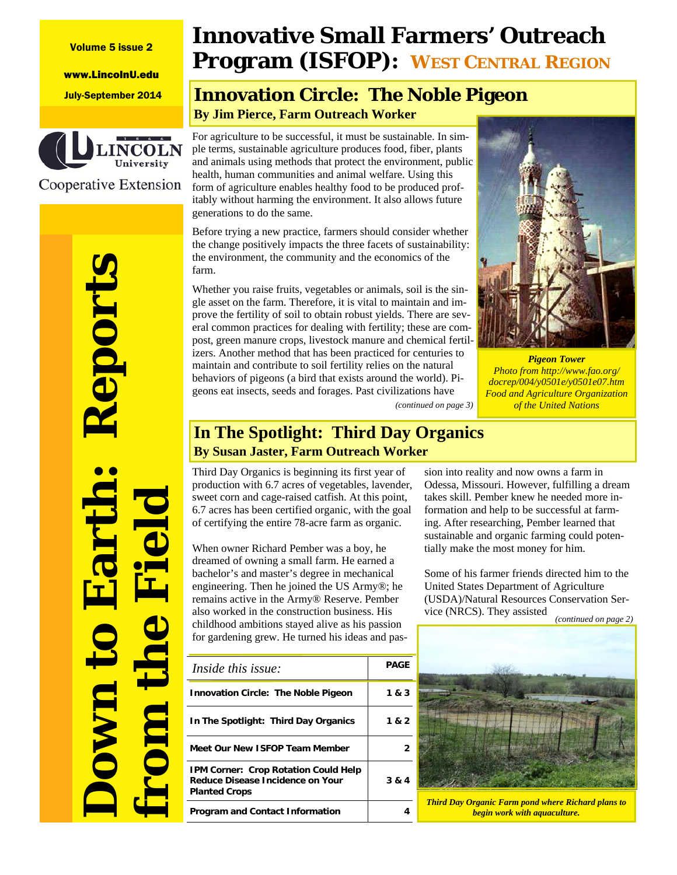#### Volume 5 issue 2

www.LincolnU.edu



Cooperative Extension

# **Down to Earth: Reports from the Field** teport **Forc**

# **Innovative Small Farmers' Outreach Program (ISFOP): WEST CENTRAL REGION**

# July-September 2014 **Innovation Circle: The Noble Pigeon By Jim Pierce, Farm Outreach Worker**

For agriculture to be successful, it must be sustainable. In simple terms, sustainable agriculture produces food, fiber, plants and animals using methods that protect the environment, public health, human communities and animal welfare. Using this form of agriculture enables healthy food to be produced profitably without harming the environment. It also allows future generations to do the same.

Before trying a new practice, farmers should consider whether the change positively impacts the three facets of sustainability: the environment, the community and the economics of the farm.

Whether you raise fruits, vegetables or animals, soil is the single asset on the farm. Therefore, it is vital to maintain and improve the fertility of soil to obtain robust yields. There are several common practices for dealing with fertility; these are compost, green manure crops, livestock manure and chemical fertilizers. Another method that has been practiced for centuries to maintain and contribute to soil fertility relies on the natural behaviors of pigeons (a bird that exists around the world). Pigeons eat insects, seeds and forages. Past civilizations have



*Pigeon Tower Photo from http://www.fao.org/ docrep/004/y0501e/y0501e07.htm Food and Agriculture Organization (continued on page 3) of the United Nations* 

### **In The Spotlight: Third Day Organics By Susan Jaster, Farm Outreach Worker**

Third Day Organics is beginning its first year of production with 6.7 acres of vegetables, lavender, sweet corn and cage-raised catfish. At this point, 6.7 acres has been certified organic, with the goal of certifying the entire 78-acre farm as organic.

When owner Richard Pember was a boy, he dreamed of owning a small farm. He earned a bachelor's and master's degree in mechanical engineering. Then he joined the US Army®; he remains active in the Army® Reserve. Pember also worked in the construction business. His childhood ambitions stayed alive as his passion for gardening grew. He turned his ideas and pas-

| Inside this issue:                                                                               | PAGE  |
|--------------------------------------------------------------------------------------------------|-------|
| <b>Innovation Circle: The Noble Pigeon</b>                                                       | 1 & 3 |
| In The Spotlight: Third Day Organics                                                             | 1 & 2 |
| Meet Our New ISFOP Team Member                                                                   |       |
| IPM Corner: Crop Rotation Could Help<br>Reduce Disease Incidence on Your<br><b>Planted Crops</b> | 3 & 4 |
| <b>Program and Contact Information</b>                                                           |       |

sion into reality and now owns a farm in Odessa, Missouri. However, fulfilling a dream takes skill. Pember knew he needed more information and help to be successful at farming. After researching, Pember learned that sustainable and organic farming could potentially make the most money for him.

Some of his farmer friends directed him to the United States Department of Agriculture (USDA)/Natural Resources Conservation Service (NRCS). They assisted *(continued on page 2)* 



*Third Day Organic Farm pond where Richard plans to begin work with aquaculture.*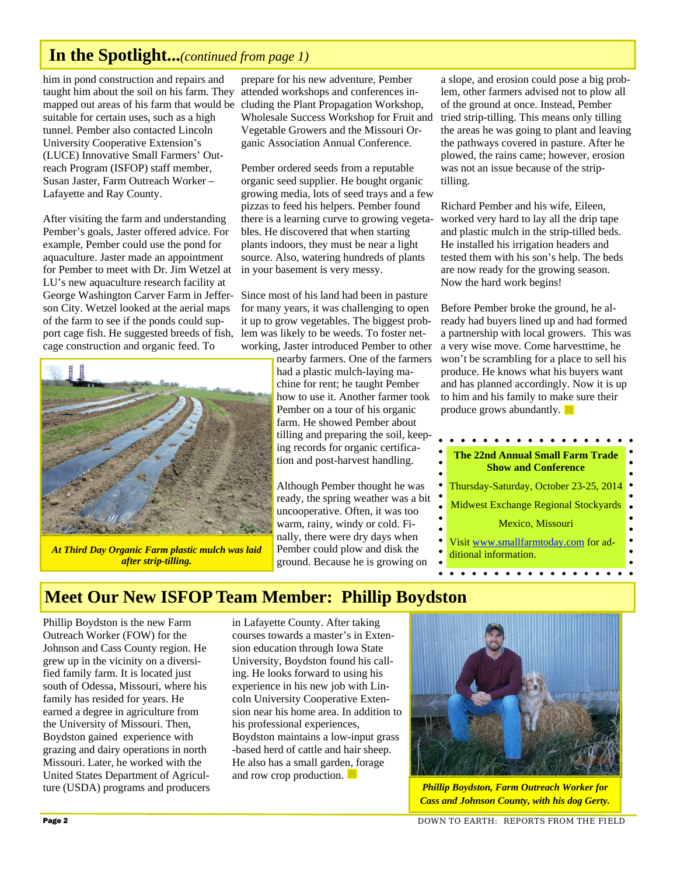# **In the Spotlight...***(continued from page 1)*

him in pond construction and repairs and taught him about the soil on his farm. They mapped out areas of his farm that would be cluding the Plant Propagation Workshop, suitable for certain uses, such as a high tunnel. Pember also contacted Lincoln University Cooperative Extension's (LUCE) Innovative Small Farmers' Outreach Program (ISFOP) staff member, Susan Jaster, Farm Outreach Worker – Lafayette and Ray County.

After visiting the farm and understanding Pember's goals, Jaster offered advice. For example, Pember could use the pond for aquaculture. Jaster made an appointment for Pember to meet with Dr. Jim Wetzel at LU's new aquaculture research facility at George Washington Carver Farm in Jefferson City. Wetzel looked at the aerial maps of the farm to see if the ponds could support cage fish. He suggested breeds of fish, cage construction and organic feed. To



*At Third Day Organic Farm plastic mulch was laid after strip-tilling.* 

prepare for his new adventure, Pember attended workshops and conferences in-Wholesale Success Workshop for Fruit and Vegetable Growers and the Missouri Organic Association Annual Conference.

Pember ordered seeds from a reputable organic seed supplier. He bought organic growing media, lots of seed trays and a few pizzas to feed his helpers. Pember found there is a learning curve to growing vegetables. He discovered that when starting plants indoors, they must be near a light source. Also, watering hundreds of plants in your basement is very messy.

Since most of his land had been in pasture for many years, it was challenging to open it up to grow vegetables. The biggest problem was likely to be weeds. To foster networking, Jaster introduced Pember to other

nearby farmers. One of the farmers had a plastic mulch-laying machine for rent; he taught Pember how to use it. Another farmer took Pember on a tour of his organic farm. He showed Pember about tilling and preparing the soil, keeping records for organic certification and post-harvest handling.

Although Pember thought he was ready, the spring weather was a bit uncooperative. Often, it was too warm, rainy, windy or cold. Finally, there were dry days when Pember could plow and disk the ground. Because he is growing on

a slope, and erosion could pose a big problem, other farmers advised not to plow all of the ground at once. Instead, Pember tried strip-tilling. This means only tilling the areas he was going to plant and leaving the pathways covered in pasture. After he plowed, the rains came; however, erosion was not an issue because of the striptilling.

Richard Pember and his wife, Eileen, worked very hard to lay all the drip tape and plastic mulch in the strip-tilled beds. He installed his irrigation headers and tested them with his son's help. The beds are now ready for the growing season. Now the hard work begins!

Before Pember broke the ground, he already had buyers lined up and had formed a partnership with local growers. This was a very wise move. Come harvesttime, he won't be scrambling for a place to sell his produce. He knows what his buyers want and has planned accordingly. Now it is up to him and his family to make sure their produce grows abundantly.



# **Meet Our New ISFOP Team Member: Phillip Boydston**

Phillip Boydston is the new Farm Outreach Worker (FOW) for the Johnson and Cass County region. He grew up in the vicinity on a diversified family farm. It is located just south of Odessa, Missouri, where his family has resided for years. He earned a degree in agriculture from the University of Missouri. Then, Boydston gained experience with grazing and dairy operations in north Missouri. Later, he worked with the United States Department of Agriculture (USDA) programs and producers

in Lafayette County. After taking courses towards a master's in Extension education through Iowa State University, Boydston found his calling. He looks forward to using his experience in his new job with Lincoln University Cooperative Extension near his home area. In addition to his professional experiences, Boydston maintains a low-input grass -based herd of cattle and hair sheep. He also has a small garden, forage and row crop production.



*Phillip Boydston, Farm Outreach Worker for Cass and Johnson County, with his dog Gerty.*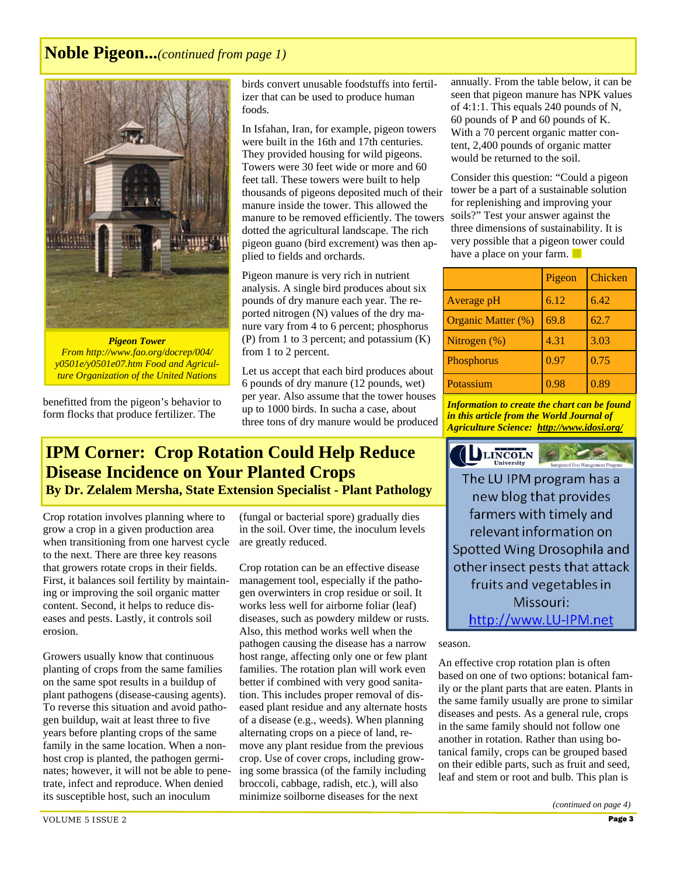# **Noble Pigeon...***(continued from page 1)*



*Pigeon Tower From http://www.fao.org/docrep/004/ y0501e/y0501e07.htm Food and Agriculture Organization of the United Nations* 

benefitted from the pigeon's behavior to form flocks that produce fertilizer. The

birds convert unusable foodstuffs into fertilizer that can be used to produce human foods.

In Isfahan, Iran, for example, pigeon towers were built in the 16th and 17th centuries. They provided housing for wild pigeons. Towers were 30 feet wide or more and 60 feet tall. These towers were built to help thousands of pigeons deposited much of their manure inside the tower. This allowed the manure to be removed efficiently. The towers dotted the agricultural landscape. The rich pigeon guano (bird excrement) was then applied to fields and orchards.

Pigeon manure is very rich in nutrient analysis. A single bird produces about six pounds of dry manure each year. The reported nitrogen (N) values of the dry manure vary from 4 to 6 percent; phosphorus (P) from 1 to 3 percent; and potassium (K) from 1 to 2 percent.

Let us accept that each bird produces about 6 pounds of dry manure (12 pounds, wet) per year. Also assume that the tower houses up to 1000 birds. In sucha a case, about three tons of dry manure would be produced

## **IPM Corner: Crop Rotation Could Help Reduce Disease Incidence on Your Planted Crops By Dr. Zelalem Mersha, State Extension Specialist - Plant Pathology**

Crop rotation involves planning where to grow a crop in a given production area when transitioning from one harvest cycle to the next. There are three key reasons that growers rotate crops in their fields. First, it balances soil fertility by maintaining or improving the soil organic matter content. Second, it helps to reduce diseases and pests. Lastly, it controls soil erosion.

Growers usually know that continuous planting of crops from the same families on the same spot results in a buildup of plant pathogens (disease-causing agents). To reverse this situation and avoid pathogen buildup, wait at least three to five years before planting crops of the same family in the same location. When a nonhost crop is planted, the pathogen germinates; however, it will not be able to penetrate, infect and reproduce. When denied its susceptible host, such an inoculum

(fungal or bacterial spore) gradually dies in the soil. Over time, the inoculum levels are greatly reduced.

Crop rotation can be an effective disease management tool, especially if the pathogen overwinters in crop residue or soil. It works less well for airborne foliar (leaf) diseases, such as powdery mildew or rusts. Also, this method works well when the pathogen causing the disease has a narrow host range, affecting only one or few plant families. The rotation plan will work even better if combined with very good sanitation. This includes proper removal of diseased plant residue and any alternate hosts of a disease (e.g., weeds). When planning alternating crops on a piece of land, remove any plant residue from the previous crop. Use of cover crops, including growing some brassica (of the family including broccoli, cabbage, radish, etc.), will also minimize soilborne diseases for the next

annually. From the table below, it can be seen that pigeon manure has NPK values of 4:1:1. This equals 240 pounds of N, 60 pounds of P and 60 pounds of K. With a 70 percent organic matter content, 2,400 pounds of organic matter would be returned to the soil.

Consider this question: "Could a pigeon tower be a part of a sustainable solution for replenishing and improving your soils?" Test your answer against the three dimensions of sustainability. It is very possible that a pigeon tower could have a place on your farm.

|                           | Pigeon | Chicken |
|---------------------------|--------|---------|
| Average pH                | 6.12   | 6.42    |
| <b>Organic Matter (%)</b> | 69.8   | 62.7    |
| Nitrogen $(\%)$           | 4.31   | 3.03    |
| Phosphorus                | 0.97   | 0.75    |
| Potassium                 | 0.98   | 0.89    |

*Information to create the chart can be found in this article from the World Journal of Agriculture Science: http://www.idosi.org/*



The LU IPM program has a new blog that provides farmers with timely and relevant information on Spotted Wing Drosophila and other insect pests that attack fruits and vegetables in Missouri: http://www.LU-IPM.net

season.

An effective crop rotation plan is often based on one of two options: botanical family or the plant parts that are eaten. Plants in the same family usually are prone to similar diseases and pests. As a general rule, crops in the same family should not follow one another in rotation. Rather than using botanical family, crops can be grouped based on their edible parts, such as fruit and seed, leaf and stem or root and bulb. This plan is